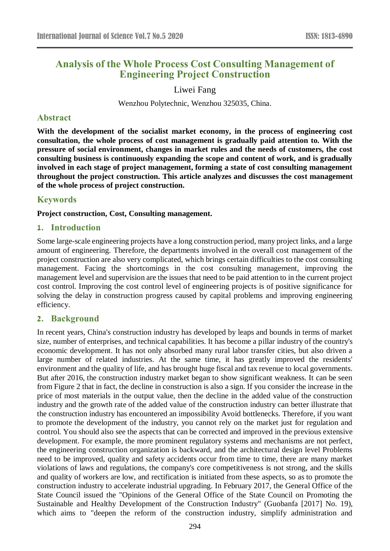# **Analysis of the Whole Process Cost Consulting Management of Engineering Project Construction**

### Liwei Fang

Wenzhou Polytechnic, Wenzhou 325035, China.

#### **Abstract**

**With the development of the socialist market economy, in the process of engineering cost consultation, the whole process of cost management is gradually paid attention to. With the pressure of social environment, changes in market rules and the needs of customers, the cost consulting business is continuously expanding the scope and content of work, and is gradually involved in each stage of project management, forming a state of cost consulting management throughout the project construction. This article analyzes and discusses the cost management of the whole process of project construction.**

## **Keywords**

**Project construction, Cost, Consulting management.**

### **1. Introduction**

Some large-scale engineering projects have a long construction period, many project links, and a large amount of engineering. Therefore, the departments involved in the overall cost management of the project construction are also very complicated, which brings certain difficulties to the cost consulting management. Facing the shortcomings in the cost consulting management, improving the management level and supervision are the issues that need to be paid attention to in the current project cost control. Improving the cost control level of engineering projects is of positive significance for solving the delay in construction progress caused by capital problems and improving engineering efficiency.

## **2. Background**

In recent years, China's construction industry has developed by leaps and bounds in terms of market size, number of enterprises, and technical capabilities. It has become a pillar industry of the country's economic development. It has not only absorbed many rural labor transfer cities, but also driven a large number of related industries. At the same time, it has greatly improved the residents' environment and the quality of life, and has brought huge fiscal and tax revenue to local governments. But after 2016, the construction industry market began to show significant weakness. It can be seen from Figure 2 that in fact, the decline in construction is also a sign. If you consider the increase in the price of most materials in the output value, then the decline in the added value of the construction industry and the growth rate of the added value of the construction industry can better illustrate that the construction industry has encountered an impossibility Avoid bottlenecks. Therefore, if you want to promote the development of the industry, you cannot rely on the market just for regulation and control. You should also see the aspects that can be corrected and improved in the previous extensive development. For example, the more prominent regulatory systems and mechanisms are not perfect, the engineering construction organization is backward, and the architectural design level Problems need to be improved, quality and safety accidents occur from time to time, there are many market violations of laws and regulations, the company's core competitiveness is not strong, and the skills and quality of workers are low, and rectification is initiated from these aspects, so as to promote the construction industry to accelerate industrial upgrading. In February 2017, the General Office of the State Council issued the "Opinions of the General Office of the State Council on Promoting the Sustainable and Healthy Development of the Construction Industry" (Guobanfa [2017] No. 19), which aims to "deepen the reform of the construction industry, simplify administration and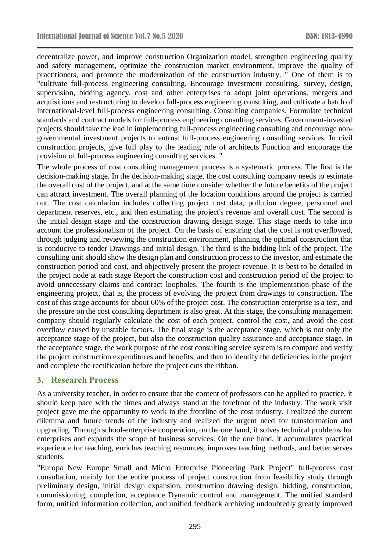decentralize power, and improve construction Organization model, strengthen engineering quality and safety management, optimize the construction market environment, improve the quality of practitioners, and promote the modernization of the construction industry. " One of them is to "cultivate full-process engineering consulting. Encourage investment consulting, survey, design, supervision, bidding agency, cost and other enterprises to adopt joint operations, mergers and acquisitions and restructuring to develop full-process engineering consulting, and cultivate a batch of international-level full-process engineering consulting. Consulting companies. Formulate technical standards and contract models for full-process engineering consulting services. Government-invested projects should take the lead in implementing full-process engineering consulting and encourage nongovernmental investment projects to entrust full-process engineering consulting services. In civil construction projects, give full play to the leading role of architects Function and encourage the provision of full-process engineering consulting services. "

The whole process of cost consulting management process is a systematic process. The first is the decision-making stage. In the decision-making stage, the cost consulting company needs to estimate the overall cost of the project, and at the same time consider whether the future benefits of the project can attract investment. The overall planning of the location conditions around the project is carried out. The cost calculation includes collecting project cost data, pollution degree, personnel and department reserves, etc., and then estimating the project's revenue and overall cost. The second is the initial design stage and the construction drawing design stage. This stage needs to take into account the professionalism of the project. On the basis of ensuring that the cost is not overflowed, through judging and reviewing the construction environment, planning the optimal construction that is conducive to tender Drawings and initial design. The third is the bidding link of the project. The consulting unit should show the design plan and construction process to the investor, and estimate the construction period and cost, and objectively present the project revenue. It is best to be detailed in the project node at each stage Report the construction cost and construction period of the project to avoid unnecessary claims and contract loopholes. The fourth is the implementation phase of the engineering project, that is, the process of evolving the project from drawings to construction. The cost of this stage accounts for about 60% of the project cost. The construction enterprise is a test, and the pressure on the cost consulting department is also great. At this stage, the consulting management company should regularly calculate the cost of each project, control the cost, and avoid the cost overflow caused by unstable factors. The final stage is the acceptance stage, which is not only the acceptance stage of the project, but also the construction quality assurance and acceptance stage. In the acceptance stage, the work purpose of the cost consulting service system is to compare and verify the project construction expenditures and benefits, and then to identify the deficiencies in the project and complete the rectification before the project cuts the ribbon.

## **3. Research Process**

As a university teacher, in order to ensure that the content of professors can be applied to practice, it should keep pace with the times and always stand at the forefront of the industry. The work visit project gave me the opportunity to work in the frontline of the cost industry. I realized the current dilemma and future trends of the industry and realized the urgent need for transformation and upgrading. Through school-enterprise cooperation, on the one hand, it solves technical problems for enterprises and expands the scope of business services. On the one hand, it accumulates practical experience for teaching, enriches teaching resources, improves teaching methods, and better serves students.

"Europa New Europe Small and Micro Enterprise Pioneering Park Project" full-process cost consultation, mainly for the entire process of project construction from feasibility study through preliminary design, initial design expansion, construction drawing design, bidding, construction, commissioning, completion, acceptance Dynamic control and management. The unified standard form, unified information collection, and unified feedback archiving undoubtedly greatly improved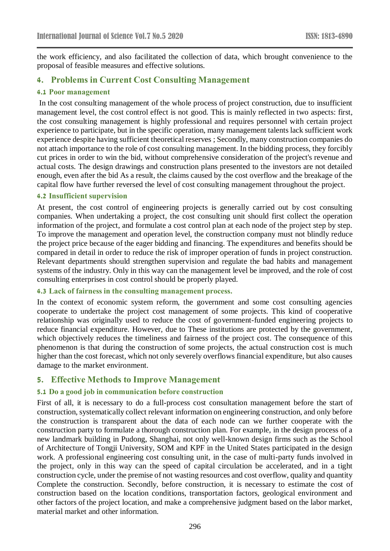the work efficiency, and also facilitated the collection of data, which brought convenience to the proposal of feasible measures and effective solutions.

## **4. Problems in Current Cost Consulting Management**

#### **4.1 Poor management**

In the cost consulting management of the whole process of project construction, due to insufficient management level, the cost control effect is not good. This is mainly reflected in two aspects: first, the cost consulting management is highly professional and requires personnel with certain project experience to participate, but in the specific operation, many management talents lack sufficient work experience despite having sufficient theoretical reserves ; Secondly, many construction companies do not attach importance to the role of cost consulting management. In the bidding process, they forcibly cut prices in order to win the bid, without comprehensive consideration of the project's revenue and actual costs. The design drawings and construction plans presented to the investors are not detailed enough, even after the bid As a result, the claims caused by the cost overflow and the breakage of the capital flow have further reversed the level of cost consulting management throughout the project.

#### **4.2 Insufficient supervision**

At present, the cost control of engineering projects is generally carried out by cost consulting companies. When undertaking a project, the cost consulting unit should first collect the operation information of the project, and formulate a cost control plan at each node of the project step by step. To improve the management and operation level, the construction company must not blindly reduce the project price because of the eager bidding and financing. The expenditures and benefits should be compared in detail in order to reduce the risk of improper operation of funds in project construction. Relevant departments should strengthen supervision and regulate the bad habits and management systems of the industry. Only in this way can the management level be improved, and the role of cost consulting enterprises in cost control should be properly played.

#### **4.3 Lack of fairness in the consulting management process.**

In the context of economic system reform, the government and some cost consulting agencies cooperate to undertake the project cost management of some projects. This kind of cooperative relationship was originally used to reduce the cost of government-funded engineering projects to reduce financial expenditure. However, due to These institutions are protected by the government, which objectively reduces the timeliness and fairness of the project cost. The consequence of this phenomenon is that during the construction of some projects, the actual construction cost is much higher than the cost forecast, which not only severely overflows financial expenditure, but also causes damage to the market environment.

## **5. Effective Methods to Improve Management**

#### **5.1 Do a good job in communication before construction**

First of all, it is necessary to do a full-process cost consultation management before the start of construction, systematically collect relevant information on engineering construction, and only before the construction is transparent about the data of each node can we further cooperate with the construction party to formulate a thorough construction plan. For example, in the design process of a new landmark building in Pudong, Shanghai, not only well-known design firms such as the School of Architecture of Tongji University, SOM and KPF in the United States participated in the design work. A professional engineering cost consulting unit, in the case of multi-party funds involved in the project, only in this way can the speed of capital circulation be accelerated, and in a tight construction cycle, under the premise of not wasting resources and cost overflow, quality and quantity Complete the construction. Secondly, before construction, it is necessary to estimate the cost of construction based on the location conditions, transportation factors, geological environment and other factors of the project location, and make a comprehensive judgment based on the labor market, material market and other information.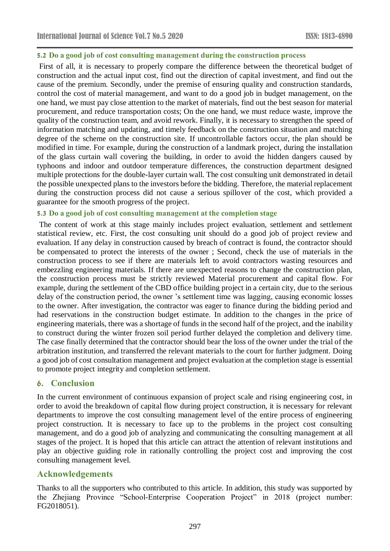#### **5.2 Do a good job of cost consulting management during the construction process**

First of all, it is necessary to properly compare the difference between the theoretical budget of construction and the actual input cost, find out the direction of capital investment, and find out the cause of the premium. Secondly, under the premise of ensuring quality and construction standards, control the cost of material management, and want to do a good job in budget management, on the one hand, we must pay close attention to the market of materials, find out the best season for material procurement, and reduce transportation costs; On the one hand, we must reduce waste, improve the quality of the construction team, and avoid rework. Finally, it is necessary to strengthen the speed of information matching and updating, and timely feedback on the construction situation and matching degree of the scheme on the construction site. If uncontrollable factors occur, the plan should be modified in time. For example, during the construction of a landmark project, during the installation of the glass curtain wall covering the building, in order to avoid the hidden dangers caused by typhoons and indoor and outdoor temperature differences, the construction department designed multiple protections for the double-layer curtain wall. The cost consulting unit demonstrated in detail the possible unexpected plans to the investors before the bidding. Therefore, the material replacement during the construction process did not cause a serious spillover of the cost, which provided a guarantee for the smooth progress of the project.

#### **5.3 Do a good job of cost consulting management at the completion stage**

The content of work at this stage mainly includes project evaluation, settlement and settlement statistical review, etc. First, the cost consulting unit should do a good job of project review and evaluation. If any delay in construction caused by breach of contract is found, the contractor should be compensated to protect the interests of the owner ; Second, check the use of materials in the construction process to see if there are materials left to avoid contractors wasting resources and embezzling engineering materials. If there are unexpected reasons to change the construction plan, the construction process must be strictly reviewed Material procurement and capital flow. For example, during the settlement of the CBD office building project in a certain city, due to the serious delay of the construction period, the owner 's settlement time was lagging, causing economic losses to the owner. After investigation, the contractor was eager to finance during the bidding period and had reservations in the construction budget estimate. In addition to the changes in the price of engineering materials, there was a shortage of funds in the second half of the project, and the inability to construct during the winter frozen soil period further delayed the completion and delivery time. The case finally determined that the contractor should bear the loss of the owner under the trial of the arbitration institution, and transferred the relevant materials to the court for further judgment. Doing a good job of cost consultation management and project evaluation at the completion stage is essential to promote project integrity and completion settlement.

## **6. Conclusion**

In the current environment of continuous expansion of project scale and rising engineering cost, in order to avoid the breakdown of capital flow during project construction, it is necessary for relevant departments to improve the cost consulting management level of the entire process of engineering project construction. It is necessary to face up to the problems in the project cost consulting management, and do a good job of analyzing and communicating the consulting management at all stages of the project. It is hoped that this article can attract the attention of relevant institutions and play an objective guiding role in rationally controlling the project cost and improving the cost consulting management level.

## **Acknowledgements**

Thanks to all the supporters who contributed to this article. In addition, this study was supported by the Zhejiang Province "School-Enterprise Cooperation Project" in 2018 (project number: FG2018051).